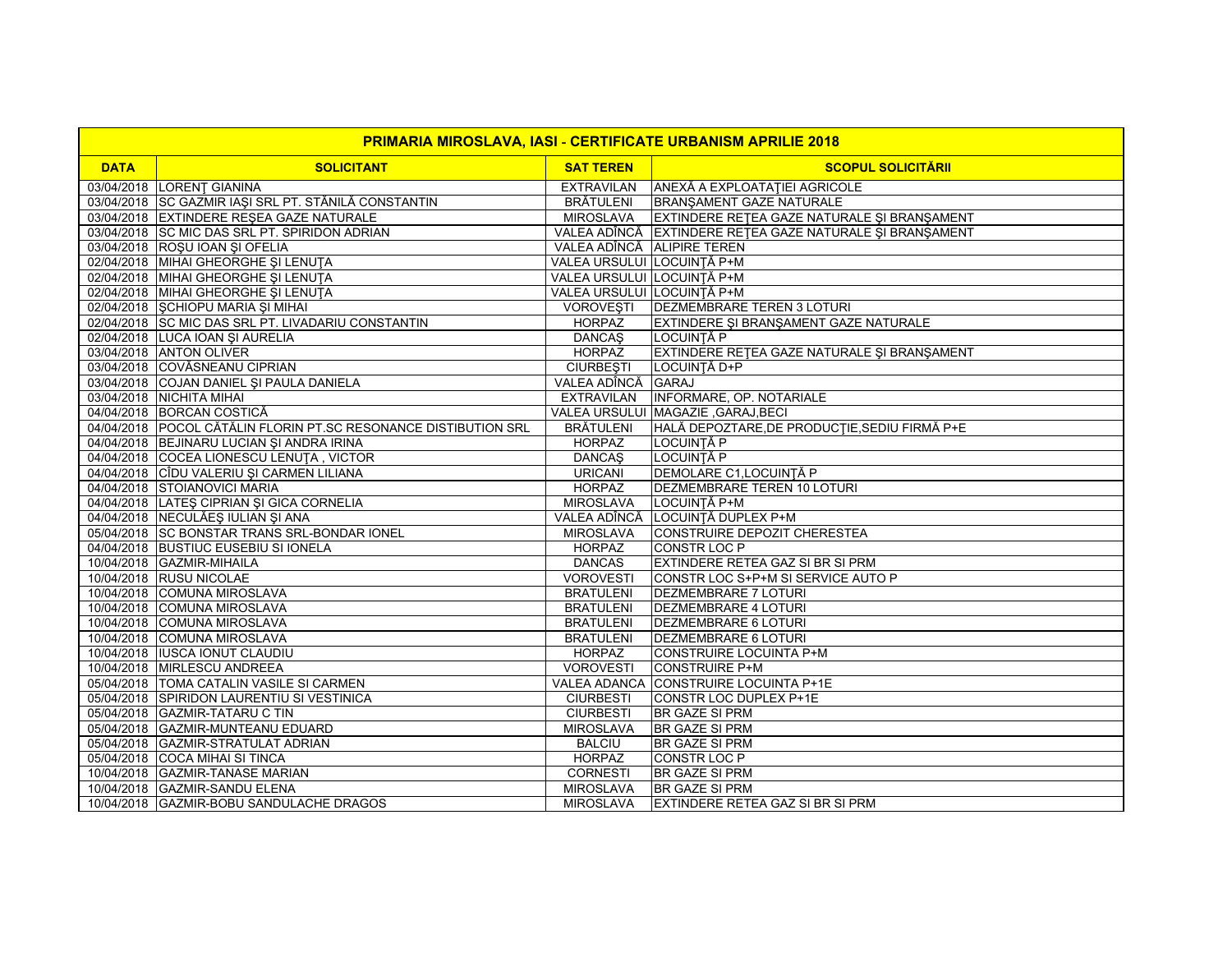| <b>PRIMARIA MIROSLAVA, IASI - CERTIFICATE URBANISM APRILIE 2018</b> |                                                                 |                            |                                                          |  |  |
|---------------------------------------------------------------------|-----------------------------------------------------------------|----------------------------|----------------------------------------------------------|--|--|
| <b>DATA</b>                                                         | <b>SOLICITANT</b>                                               | <b>SAT TEREN</b>           | <b>SCOPUL SOLICITĂRII</b>                                |  |  |
|                                                                     | 03/04/2018 LORENT GIANINA                                       | <b>EXTRAVILAN</b>          | ANEXĂ A EXPLOATAȚIEI AGRICOLE                            |  |  |
|                                                                     | 03/04/2018 SC GAZMIR IAȘI SRL PT. STĂNILĂ CONSTANTIN            | <b>BRĂTULENI</b>           | BRANŞAMENT GAZE NATURALE                                 |  |  |
|                                                                     | 03/04/2018 EXTINDERE RESEA GAZE NATURALE                        | MIROSLAVA                  | EXTINDERE RETEA GAZE NATURALE ȘI BRANȘAMENT              |  |  |
|                                                                     | 03/04/2018 SC MIC DAS SRL PT. SPIRIDON ADRIAN                   |                            | VALEA ADÎNCĂ EXTINDERE REȚEA GAZE NATURALE ȘI BRANȘAMENT |  |  |
|                                                                     | 03/04/2018 ROŞU IOAN ŞI OFELIA                                  | VALEA ADÎNCĂ ALIPIRE TEREN |                                                          |  |  |
|                                                                     | 02/04/2018 MIHAI GHEORGHE ȘI LENUȚA                             | VALEA URSULUI LOCUINTĂ P+M |                                                          |  |  |
|                                                                     | 02/04/2018 MIHAI GHEORGHE ȘI LENUȚA                             | VALEA URSULUI LOCUINTĂ P+M |                                                          |  |  |
|                                                                     | 02/04/2018 MIHAI GHEORGHE ȘI LENUȚA                             | VALEA URSULUI LOCUINȚĂ P+M |                                                          |  |  |
|                                                                     | 02/04/2018 SCHIOPU MARIA SI MIHAI                               | <b>VOROVESTI</b>           | <b>DEZMEMBRARE TEREN 3 LOTURI</b>                        |  |  |
|                                                                     | 02/04/2018 SC MIC DAS SRL PT. LIVADARIU CONSTANTIN              | <b>HORPAZ</b>              | EXTINDERE ȘI BRANȘAMENT GAZE NATURALE                    |  |  |
|                                                                     | 02/04/2018 LUCA IOAN ȘI AURELIA                                 | <b>DANCAŞ</b>              | LOCUINȚĂ P                                               |  |  |
|                                                                     | 03/04/2018 ANTON OLIVER                                         | <b>HORPAZ</b>              | EXTINDERE RETEA GAZE NATURALE ȘI BRANȘAMENT              |  |  |
|                                                                     | 03/04/2018 COVĂSNEANU CIPRIAN                                   | <b>CIURBEȘTI</b>           | LOCUINȚĂ D+P                                             |  |  |
|                                                                     | 03/04/2018 COJAN DANIEL ȘI PAULA DANIELA                        | VALEA ADÎNCĂ GARAJ         |                                                          |  |  |
|                                                                     | 03/04/2018 NICHITA MIHAI                                        | <b>EXTRAVILAN</b>          | <b>INFORMARE, OP. NOTARIALE</b>                          |  |  |
|                                                                     | 04/04/2018 BORCAN COSTICĂ                                       |                            | VALEA URSULUI MAGAZIE , GARAJ, BECI                      |  |  |
|                                                                     | 04/04/2018 POCOL CĂTĂLIN FLORIN PT.SC RESONANCE DISTIBUTION SRL | <b>BRÄTULENI</b>           | HALĂ DEPOZTARE, DE PRODUCȚIE, SEDIU FIRMĂ P+E            |  |  |
|                                                                     | 04/04/2018 BEJINARU LUCIAN ȘI ANDRA IRINA                       | <b>HORPAZ</b>              | LOCUINȚĂ P                                               |  |  |
|                                                                     | 04/04/2018 COCEA LIONESCU LENUTA, VICTOR                        | <b>DANCAS</b>              | LOCUINTĂ P                                               |  |  |
|                                                                     | 04/04/2018 CÎDU VALERIU ȘI CARMEN LILIANA                       | <b>URICANI</b>             | DEMOLARE C1, LOCUINȚĂ P                                  |  |  |
|                                                                     | 04/04/2018 STOIANOVICI MARIA                                    | <b>HORPAZ</b>              | DEZMEMBRARE TEREN 10 LOTURI                              |  |  |
|                                                                     | 04/04/2018 LATES CIPRIAN SI GICA CORNELIA                       | <b>MIROSLAVA</b>           | LOCUINTĂ P+M                                             |  |  |
|                                                                     | 04/04/2018 NECULĂEȘ IULIAN ȘI ANA                               |                            | VALEA ADÎNCĂ LOCUINȚĂ DUPLEX P+M                         |  |  |
|                                                                     | 05/04/2018 SC BONSTAR TRANS SRL-BONDAR IONEL                    | <b>MIROSLAVA</b>           | CONSTRUIRE DEPOZIT CHERESTEA                             |  |  |
|                                                                     | 04/04/2018 BUSTIUC EUSEBIU SI IONELA                            | <b>HORPAZ</b>              | CONSTR LOC P                                             |  |  |
|                                                                     | 10/04/2018 GAZMIR-MIHAILA                                       | <b>DANCAS</b>              | EXTINDERE RETEA GAZ SI BR SI PRM                         |  |  |
|                                                                     | 10/04/2018 RUSU NICOLAE                                         | <b>VOROVESTI</b>           | CONSTR LOC S+P+M SI SERVICE AUTO P                       |  |  |
|                                                                     | 10/04/2018 COMUNA MIROSLAVA                                     | <b>BRATULENI</b>           | <b>DEZMEMBRARE 7 LOTURI</b>                              |  |  |
|                                                                     | 10/04/2018 COMUNA MIROSLAVA                                     | <b>BRATULENI</b>           | <b>DEZMEMBRARE 4 LOTURI</b>                              |  |  |
|                                                                     | 10/04/2018 COMUNA MIROSLAVA                                     | <b>BRATULENI</b>           | DEZMEMBRARE 6 LOTURI                                     |  |  |
|                                                                     | 10/04/2018 COMUNA MIROSLAVA                                     | <b>BRATULENI</b>           | <b>DEZMEMBRARE 6 LOTURI</b>                              |  |  |
|                                                                     | 10/04/2018  IUSCA IONUT CLAUDIU                                 | HORPAZ                     | CONSTRUIRE LOCUINTA P+M                                  |  |  |
|                                                                     | 10/04/2018 MIRLESCU ANDREEA                                     | <b>VOROVESTI</b>           | <b>CONSTRUIRE P+M</b>                                    |  |  |
|                                                                     | 05/04/2018 TOMA CATALIN VASILE SI CARMEN                        |                            | VALEA ADANCA CONSTRUIRE LOCUINTA P+1E                    |  |  |
|                                                                     | 05/04/2018 SPIRIDON LAURENTIU SI VESTINICA                      | <b>CIURBESTI</b>           | <b>CONSTR LOC DUPLEX P+1E</b>                            |  |  |
|                                                                     | 05/04/2018 GAZMIR-TATARU C TIN                                  | <b>CIURBESTI</b>           | <b>BR GAZE SI PRM</b>                                    |  |  |
|                                                                     | 05/04/2018 GAZMIR-MUNTEANU EDUARD                               | <b>MIROSLAVA</b>           | <b>BR GAZE SI PRM</b>                                    |  |  |
|                                                                     | 05/04/2018 GAZMIR-STRATULAT ADRIAN                              | <b>BALCIU</b>              | <b>BR GAZE SI PRM</b>                                    |  |  |
|                                                                     | 05/04/2018 COCA MIHAI SI TINCA                                  | <b>HORPAZ</b>              | CONSTR LOC P                                             |  |  |
|                                                                     | 10/04/2018 GAZMIR-TANASE MARIAN                                 | <b>CORNESTI</b>            | <b>BR GAZE SI PRM</b>                                    |  |  |
|                                                                     | 10/04/2018 GAZMIR-SANDU ELENA                                   | <b>MIROSLAVA</b>           | <b>BR GAZE SI PRM</b>                                    |  |  |
|                                                                     | 10/04/2018 GAZMIR-BOBU SANDULACHE DRAGOS                        | <b>MIROSLAVA</b>           | <b>EXTINDERE RETEA GAZ SI BR SI PRM</b>                  |  |  |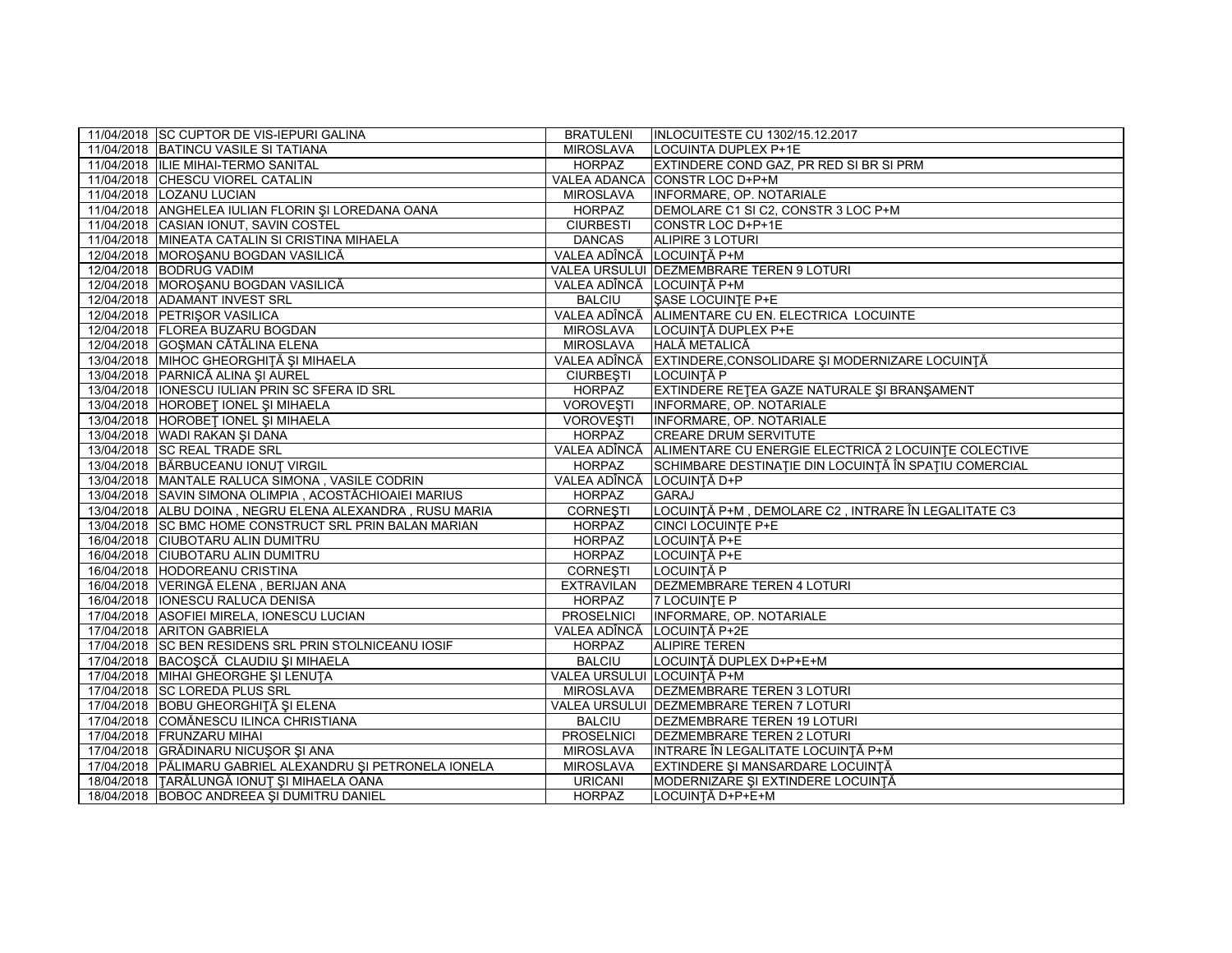| 11/04/2018 SC CUPTOR DE VIS-IEPURI GALINA                 | <b>BRATULENI</b>           | <b>INLOCUITESTE CU 1302/15.12.2017</b>                            |
|-----------------------------------------------------------|----------------------------|-------------------------------------------------------------------|
| 11/04/2018 BATINCU VASILE SI TATIANA                      | <b>MIROSLAVA</b>           | LOCUINTA DUPLEX P+1E                                              |
| 11/04/2018  ILIE MIHAI-TERMO SANITAL                      | HORPAZ                     | EXTINDERE COND GAZ, PR RED SI BR SI PRM                           |
| 11/04/2018 CHESCU VIOREL CATALIN                          |                            | VALEA ADANCA CONSTR LOC D+P+M                                     |
| 11/04/2018 LOZANU LUCIAN                                  | <b>MIROSLAVA</b>           | <b>INFORMARE, OP. NOTARIALE</b>                                   |
| 11/04/2018 ANGHELEA IULIAN FLORIN ȘI LOREDANA OANA        | <b>HORPAZ</b>              | DEMOLARE C1 SI C2, CONSTR 3 LOC P+M                               |
| 11/04/2018 CASIAN IONUT, SAVIN COSTEL                     | <b>CIURBESTI</b>           | CONSTR LOC D+P+1E                                                 |
| 11/04/2018 MINEATA CATALIN SI CRISTINA MIHAELA            | <b>DANCAS</b>              | ALIPIRE 3 LOTURI                                                  |
| 12/04/2018 MOROŞANU BOGDAN VASILICĂ                       | VALEA ADÎNCĂ LOCUINȚĂ P+M  |                                                                   |
| 12/04/2018 BODRUG VADIM                                   |                            | VALEA URSULUI DEZMEMBRARE TEREN 9 LOTURI                          |
| 12/04/2018 MOROSANU BOGDAN VASILICĂ                       | VALEA ADÎNCĂ LOCUINTĂ P+M  |                                                                   |
| 12/04/2018 ADAMANT INVEST SRL                             | <b>BALCIU</b>              | SASE LOCUINTE P+E                                                 |
| 12/04/2018 PETRIŞOR VASILICA                              |                            | VALEA ADÎNCĂ ALIMENTARE CU EN. ELECTRICA LOCUINTE                 |
| 12/04/2018 FLOREA BUZARU BOGDAN                           | <b>MIROSLAVA</b>           | LOCUINTĂ DUPLEX P+E                                               |
| 12/04/2018 GOŞMAN CĂTĂLINA ELENA                          | MIROSLAVA                  | <b>HALĂ METALICĂ</b>                                              |
| 13/04/2018 MIHOC GHEORGHITĂ ȘI MIHAELA                    |                            | VALEA ADÎNCĂ EXTINDERE, CONSOLIDARE ȘI MODERNIZARE LOCUINȚĂ       |
| 13/04/2018 PARNICĂ ALINA ȘI AUREL                         | <b>CIURBESTI</b>           | LOCUINȚĂ P                                                        |
| 13/04/2018   IONESCU IULIAN PRIN SC SFERA ID SRL          | <b>HORPAZ</b>              | EXTINDERE RETEA GAZE NATURALE ȘI BRANȘAMENT                       |
| 13/04/2018 HOROBET IONEL SI MIHAELA                       | <b>VOROVESTI</b>           | INFORMARE, OP. NOTARIALE                                          |
| 13/04/2018 HOROBET IONEL ȘI MIHAELA                       | <b>VOROVESTI</b>           | INFORMARE, OP. NOTARIALE                                          |
| 13/04/2018 WADI RAKAN ŞI DANA                             | <b>HORPAZ</b>              | <b>CREARE DRUM SERVITUTE</b>                                      |
| 13/04/2018 SC REAL TRADE SRL                              |                            | VALEA ADÎNCĂ ALIMENTARE CU ENERGIE ELECTRICĂ 2 LOCUINȚE COLECTIVE |
| 13/04/2018 BĂRBUCEANU IONUȚ VIRGIL                        | <b>HORPAZ</b>              | SCHIMBARE DESTINAȚIE DIN LOCUINȚĂ ÎN SPAȚIU COMERCIAL             |
| 13/04/2018   MANTALE RALUCA SIMONA, VASILE CODRIN         | VALEA ADÎNCĂ LOCUINȚĂ D+P  |                                                                   |
| 13/04/2018 SAVIN SIMONA OLIMPIA, ACOSTĂCHIOAIEI MARIUS    | <b>HORPAZ</b>              | <b>GARAJ</b>                                                      |
| 13/04/2018 ALBU DOINA, NEGRU ELENA ALEXANDRA, RUSU MARIA  | <b>CORNESTI</b>            | LOCUINTĂ P+M , DEMOLARE C2 , INTRARE ÎN LEGALITATE C3             |
| 13/04/2018 SC BMC HOME CONSTRUCT SRL PRIN BALAN MARIAN    | <b>HORPAZ</b>              | <b>CINCI LOCUINTE P+E</b>                                         |
| 16/04/2018 CIUBOTARU ALIN DUMITRU                         | <b>HORPAZ</b>              | LOCUINTĂ P+E                                                      |
| 16/04/2018 CIUBOTARU ALIN DUMITRU                         | <b>HORPAZ</b>              | LOCUINTĂ P+E                                                      |
| 16/04/2018 HODOREANU CRISTINA                             | <b>CORNEȘTI</b>            | LOCUINȚĂ P                                                        |
| 16/04/2018 VERINGĂ ELENA, BERIJAN ANA                     | <b>EXTRAVILAN</b>          | DEZMEMBRARE TEREN 4 LOTURI                                        |
| 16/04/2018   IONESCU RALUCA DENISA                        | HORPAZ                     | 7 LOCUINTE P                                                      |
| 17/04/2018 ASOFIEI MIRELA, IONESCU LUCIAN                 | <b>PROSELNICI</b>          | INFORMARE, OP. NOTARIALE                                          |
| 17/04/2018 ARITON GABRIELA                                |                            | VALEA ADÎNCĂ LOCUINȚĂ P+2E                                        |
| 17/04/2018 SC BEN RESIDENS SRL PRIN STOLNICEANU IOSIF     | <b>HORPAZ</b>              | <b>ALIPIRE TEREN</b>                                              |
| 17/04/2018 BACOŞCĂ CLAUDIU ȘI MIHAELA                     | <b>BALCIU</b>              | LOCUINȚĂ DUPLEX D+P+E+M                                           |
| 17/04/2018 MIHAI GHEORGHE ȘI LENUȚA                       | VALEA URSULUI LOCUINȚĂ P+M |                                                                   |
| 17/04/2018 SC LOREDA PLUS SRL                             | <b>MIROSLAVA</b>           | <b>DEZMEMBRARE TEREN 3 LOTURI</b>                                 |
| 17/04/2018 BOBU GHEORGHIȚĂ ȘI ELENA                       |                            | VALEA URSULUI DEZMEMBRARE TEREN 7 LOTURI                          |
| 17/04/2018 COMĂNESCU ILINCA CHRISTIANA                    | <b>BALCIU</b>              | DEZMEMBRARE TEREN 19 LOTURI                                       |
| 17/04/2018 FRUNZARU MIHAI                                 | <b>PROSELNICI</b>          | <b>DEZMEMBRARE TEREN 2 LOTURI</b>                                 |
| 17/04/2018 GRĂDINARU NICUȘOR ȘI ANA                       | <b>MIROSLAVA</b>           | INTRARE ÎN LEGALITATE LOCUINȚĂ P+M                                |
| 17/04/2018 PĂLIMARU GABRIEL ALEXANDRU ȘI PETRONELA IONELA | <b>MIROSLAVA</b>           | EXTINDERE ȘI MANSARDARE LOCUINȚĂ                                  |
| 18/04/2018   TARĂLUNGĂ IONUȚ ȘI MIHAELA OANA              | <b>URICANI</b>             | MODERNIZARE ȘI EXTINDERE LOCUINȚĂ                                 |
| 18/04/2018 BOBOC ANDREEA ȘI DUMITRU DANIEL                | <b>HORPAZ</b>              | LOCUINȚĂ D+P+E+M                                                  |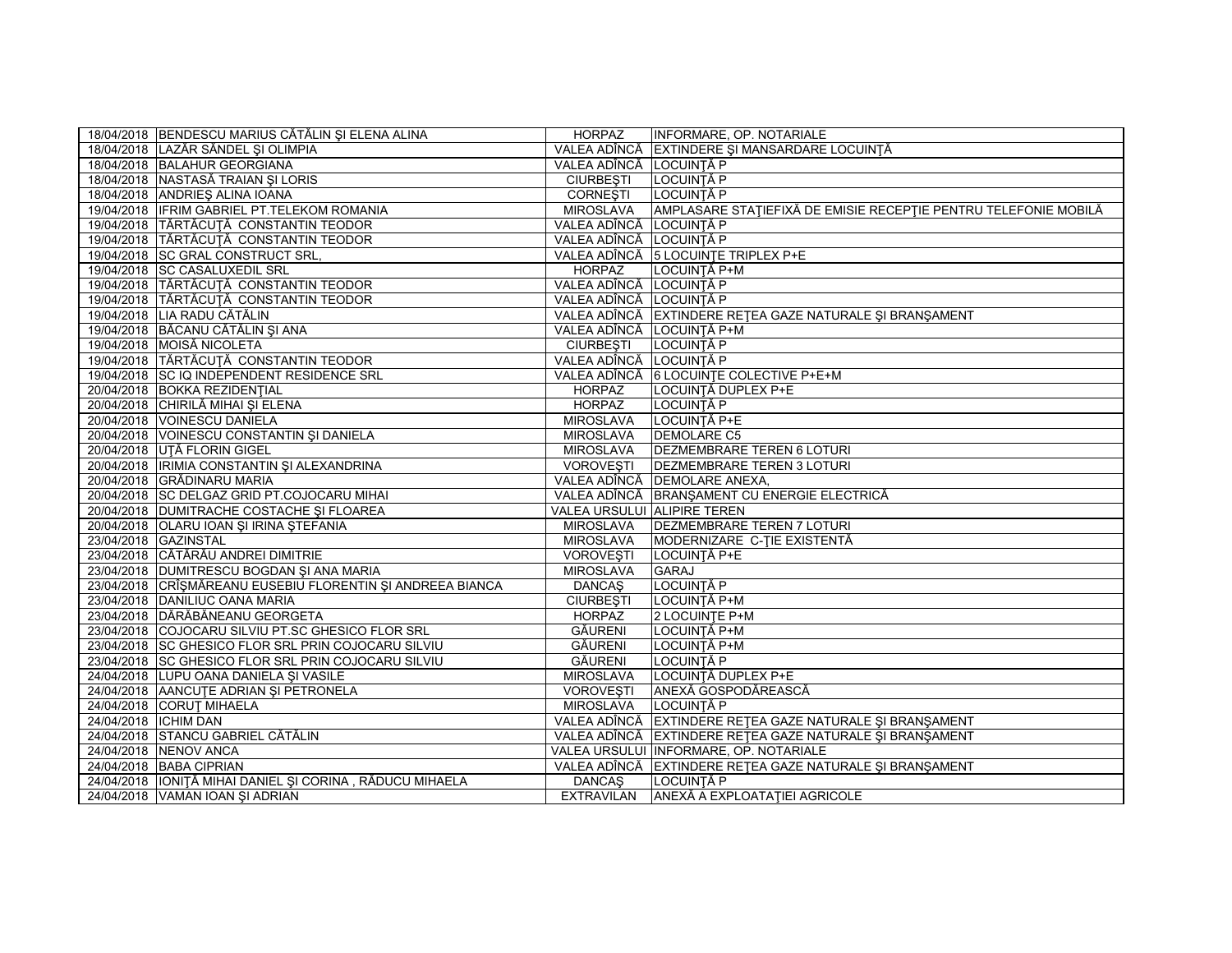|                        | 18/04/2018 BENDESCU MARIUS CĂTĂLIN ȘI ELENA ALINA          | <b>HORPAZ</b>               | INFORMARE, OP. NOTARIALE                                                  |
|------------------------|------------------------------------------------------------|-----------------------------|---------------------------------------------------------------------------|
|                        | 18/04/2018 LAZĂR SĂNDEL ȘI OLIMPIA                         |                             | VALEA ADÎNCĂ EXTINDERE ȘI MANSARDARE LOCUINȚĂ                             |
|                        | 18/04/2018 BALAHUR GEORGIANA                               | VALEA ADÎNCĂ LOCUINȚĂ P     |                                                                           |
|                        | 18/04/2018 NASTASĂ TRAIAN ȘI LORIS                         | <b>CIURBESTI</b>            | LOCUINȚĂ P                                                                |
|                        | 18/04/2018 ANDRIES ALINA IOANA                             | <b>CORNESTI</b>             | LOCUINTĂ P                                                                |
|                        | 19/04/2018 IFRIM GABRIEL PT.TELEKOM ROMANIA                |                             | MIROSLAVA AMPLASARE STAȚIEFIXĂ DE EMISIE RECEPȚIE PENTRU TELEFONIE MOBILĂ |
|                        | 19/04/2018 TĂRTĂCUȚĂ CONSTANTIN TEODOR                     | VALEA ADÎNCĂ LOCUINȚĂ P     |                                                                           |
|                        | 19/04/2018 TĂRTĂCUȚĂ CONSTANTIN TEODOR                     | VALEA ADÎNCĂ LOCUINȚĂ P     |                                                                           |
|                        | 19/04/2018 SC GRAL CONSTRUCT SRL,                          |                             | VALEA ADÎNCĂ 5 LOCUINȚE TRIPLEX P+E                                       |
|                        | 19/04/2018 SC CASALUXEDIL SRL                              | <b>HORPAZ</b>               | LOCUINȚĂ P+M                                                              |
|                        | 19/04/2018 TĂRTĂCUȚĂ CONSTANTIN TEODOR                     | VALEA ADÎNCĂ LOCUINȚĂ P     |                                                                           |
|                        | 19/04/2018 TĂRTĂCUTĂ CONSTANTIN TEODOR                     | VALEA ADÎNCĂ LOCUINȚĂ P     |                                                                           |
|                        | 19/04/2018 LIA RADU CĂTĂLIN                                |                             | VALEA ADÎNCĂ EXTINDERE REȚEA GAZE NATURALE ȘI BRANȘAMENT                  |
|                        | 19/04/2018 BĂCANU CĂTĂLIN ȘI ANA                           | VALEA ADÎNCĂ LOCUINȚĂ P+M   |                                                                           |
|                        | 19/04/2018 MOISĂ NICOLETA                                  | <b>CIURBEȘTI</b>            | LOCUINȚĂ P                                                                |
|                        | 19/04/2018 TĂRTĂCUȚĂ CONSTANTIN TEODOR                     | VALEA ADÎNCĂ LOCUINȚĂ P     |                                                                           |
|                        | 19/04/2018 SC IQ INDEPENDENT RESIDENCE SRL                 |                             | VALEA ADÎNCĂ 6 LOCUINTE COLECTIVE P+E+M                                   |
|                        | 20/04/2018 BOKKA REZIDENTIAL                               | <b>HORPAZ</b>               | LOCUINTĂ DUPLEX P+E                                                       |
|                        | 20/04/2018 CHIRILĂ MIHAI ȘI ELENA                          | <b>HORPAZ</b>               | LOCUINȚĂ P                                                                |
|                        | 20/04/2018 VOINESCU DANIELA                                | <b>MIROSLAVA</b>            | LOCUINȚĂ P+E                                                              |
|                        | 20/04/2018 VOINESCU CONSTANTIN ȘI DANIELA                  | MIROSLAVA                   | <b>DEMOLARE C5</b>                                                        |
|                        | 20/04/2018 UTĂ FLORIN GIGEL                                | MIROSLAVA                   | DEZMEMBRARE TEREN 6 LOTURI                                                |
|                        | 20/04/2018  IRIMIA CONSTANTIN ȘI ALEXANDRINA               |                             | VOROVESTI <b>IDEZMEMBRARE TEREN 3 LOTURI</b>                              |
|                        | 20/04/2018 GRĂDINARU MARIA                                 |                             | VALEA ADÎNCĂ DEMOLARE ANEXA,                                              |
|                        | 20/04/2018 SC DELGAZ GRID PT.COJOCARU MIHAI                |                             | VALEA ADÎNCĂ BRANȘAMENT CU ENERGIE ELECTRICĂ                              |
|                        | 20/04/2018 DUMITRACHE COSTACHE ȘI FLOAREA                  | VALEA URSULUI ALIPIRE TEREN |                                                                           |
|                        | 20/04/2018 OLARU IOAN ȘI IRINA ȘTEFANIA                    | MIROSLAVA                   | <b>DEZMEMBRARE TEREN 7 LOTURI</b>                                         |
| 23/04/2018 GAZINSTAL   |                                                            | MIROSLAVA                   | MODERNIZARE C-TIE EXISTENTĂ                                               |
|                        | 23/04/2018 CĂTĂRĂU ANDREI DIMITRIE                         | <b>VOROVESTI</b>            | LOCUINȚĂ P+E                                                              |
|                        | 23/04/2018   DUMITRESCU BOGDAN ŞI ANA MARIA                | <b>MIROSLAVA</b>            | <b>GARAJ</b>                                                              |
|                        | 23/04/2018 CRÎȘMĂREANU EUSEBIU FLORENTIN ȘI ANDREEA BIANCA | <b>DANCAS</b>               | LOCUINTĂ P                                                                |
|                        | 23/04/2018 DANILIUC OANA MARIA                             | <b>CIURBEȘTI</b>            | LOCUINȚĂ P+M                                                              |
|                        | 23/04/2018 DĂRĂBĂNEANU GEORGETA                            | <b>HORPAZ</b>               | 2 LOCUINTE P+M                                                            |
|                        | 23/04/2018 COJOCARU SILVIU PT.SC GHESICO FLOR SRL          | GĂURENI                     | LOCUINȚĂ P+M                                                              |
|                        | 23/04/2018 SC GHESICO FLOR SRL PRIN COJOCARU SILVIU        | GĂURENI                     | LOCUINȚĂ P+M                                                              |
|                        | 23/04/2018 SC GHESICO FLOR SRL PRIN COJOCARU SILVIU        | GĂURENI                     | LOCUINȚĂ P                                                                |
|                        | 24/04/2018 LUPU OANA DANIELA ȘI VASILE                     | <b>MIROSLAVA</b>            | LOCUINTĂ DUPLEX P+E                                                       |
|                        | 24/04/2018 AANCUTE ADRIAN ȘI PETRONELA                     | <b>VOROVESTI</b>            | ANEXĂ GOSPODĂREASCĂ                                                       |
|                        | 24/04/2018 CORUȚ MIHAELA                                   | <b>MIROSLAVA</b>            | LOCUINȚĂ P                                                                |
| 24/04/2018   ICHIM DAN |                                                            |                             | VALEA ADÎNCĂ EXTINDERE REȚEA GAZE NATURALE ȘI BRANȘAMENT                  |
|                        | 24/04/2018 STANCU GABRIEL CĂTĂLIN                          |                             | VALEA ADÎNCĂ EXTINDERE REȚEA GAZE NATURALE ȘI BRANȘAMENT                  |
|                        | 24/04/2018 NENOV ANCA                                      |                             | VALEA URSULUI INFORMARE, OP. NOTARIALE                                    |
|                        | 24/04/2018 BABA CIPRIAN                                    |                             | VALEA ADÎNCĂ EXTINDERE REȚEA GAZE NATURALE ȘI BRANȘAMENT                  |
|                        | 24/04/2018   IONIȚĂ MIHAI DANIEL ȘI CORINA, RĂDUCU MIHAELA | <b>DANCAS</b>               | LOCUINȚĂ P                                                                |
|                        | 24/04/2018 VAMAN IOAN ŞI ADRIAN                            |                             | EXTRAVILAN ANEXĂ A EXPLOATAȚIEI AGRICOLE                                  |